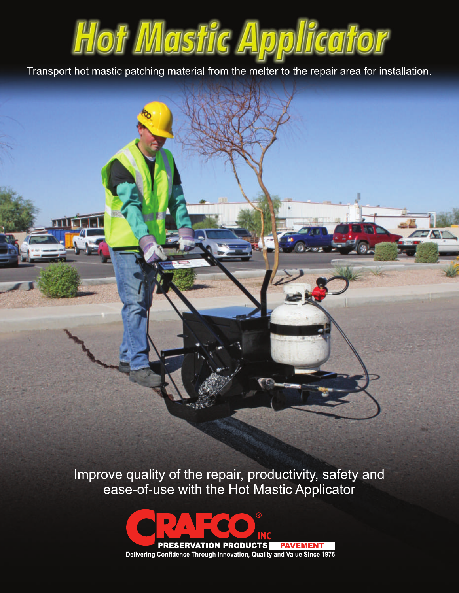

Transport hot mastic patching material from the melter to the repair area for installation.

Improve quality of the repair, productivity, safety and ease-of-use with the Hot Mastic Applicator